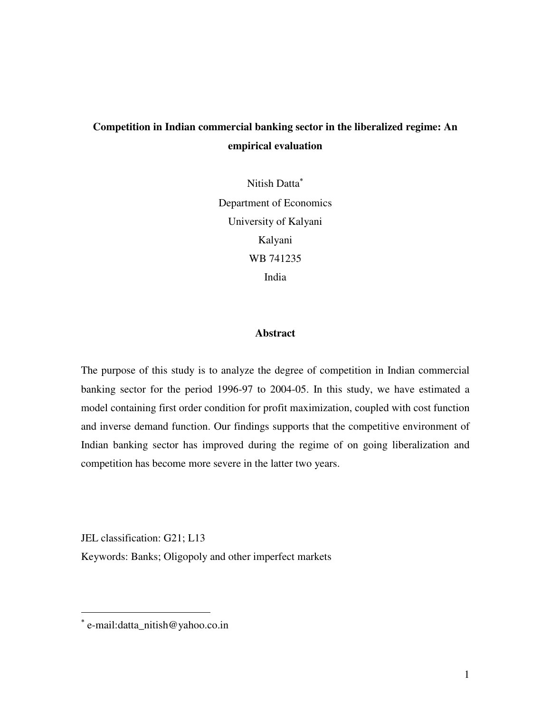# **Competition in Indian commercial banking sector in the liberalized regime: An empirical evaluation**

Nitish Datta<sup>∗</sup> Department of Economics University of Kalyani Kalyani WB 741235 India

#### **Abstract**

The purpose of this study is to analyze the degree of competition in Indian commercial banking sector for the period 1996-97 to 2004-05. In this study, we have estimated a model containing first order condition for profit maximization, coupled with cost function and inverse demand function. Our findings supports that the competitive environment of Indian banking sector has improved during the regime of on going liberalization and competition has become more severe in the latter two years.

JEL classification: G21; L13

 $\overline{a}$ 

Keywords: Banks; Oligopoly and other imperfect markets

<sup>∗</sup> e-mail:datta\_nitish@yahoo.co.in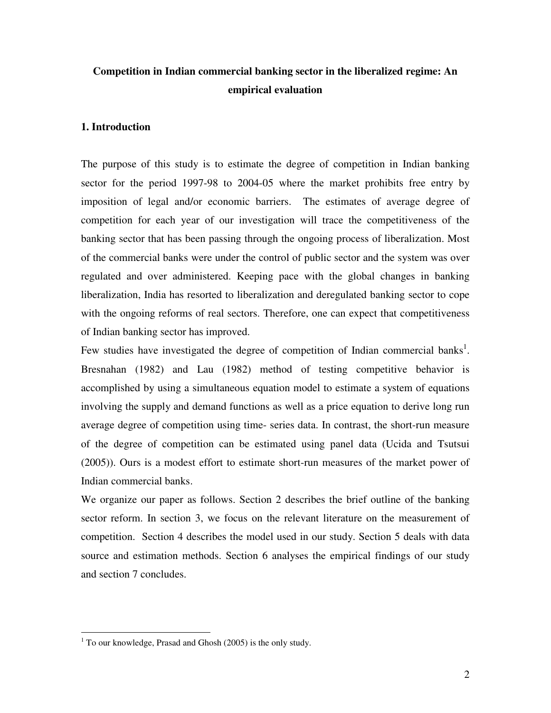# **Competition in Indian commercial banking sector in the liberalized regime: An empirical evaluation**

#### **1. Introduction**

The purpose of this study is to estimate the degree of competition in Indian banking sector for the period 1997-98 to 2004-05 where the market prohibits free entry by imposition of legal and/or economic barriers. The estimates of average degree of competition for each year of our investigation will trace the competitiveness of the banking sector that has been passing through the ongoing process of liberalization. Most of the commercial banks were under the control of public sector and the system was over regulated and over administered. Keeping pace with the global changes in banking liberalization, India has resorted to liberalization and deregulated banking sector to cope with the ongoing reforms of real sectors. Therefore, one can expect that competitiveness of Indian banking sector has improved.

Few studies have investigated the degree of competition of Indian commercial banks<sup>1</sup>. Bresnahan (1982) and Lau (1982) method of testing competitive behavior is accomplished by using a simultaneous equation model to estimate a system of equations involving the supply and demand functions as well as a price equation to derive long run average degree of competition using time- series data. In contrast, the short-run measure of the degree of competition can be estimated using panel data (Ucida and Tsutsui (2005)). Ours is a modest effort to estimate short-run measures of the market power of Indian commercial banks.

We organize our paper as follows. Section 2 describes the brief outline of the banking sector reform. In section 3, we focus on the relevant literature on the measurement of competition. Section 4 describes the model used in our study. Section 5 deals with data source and estimation methods. Section 6 analyses the empirical findings of our study and section 7 concludes.

 $\overline{a}$ 

 $1$  To our knowledge, Prasad and Ghosh (2005) is the only study.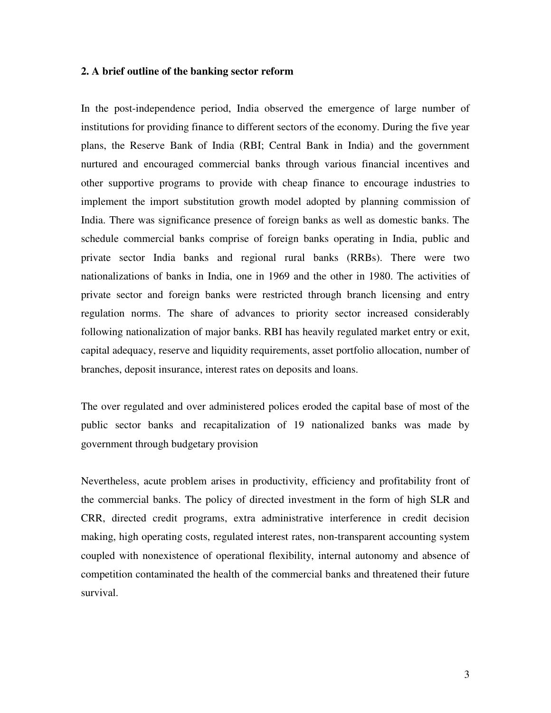#### **2. A brief outline of the banking sector reform**

In the post-independence period, India observed the emergence of large number of institutions for providing finance to different sectors of the economy. During the five year plans, the Reserve Bank of India (RBI; Central Bank in India) and the government nurtured and encouraged commercial banks through various financial incentives and other supportive programs to provide with cheap finance to encourage industries to implement the import substitution growth model adopted by planning commission of India. There was significance presence of foreign banks as well as domestic banks. The schedule commercial banks comprise of foreign banks operating in India, public and private sector India banks and regional rural banks (RRBs). There were two nationalizations of banks in India, one in 1969 and the other in 1980. The activities of private sector and foreign banks were restricted through branch licensing and entry regulation norms. The share of advances to priority sector increased considerably following nationalization of major banks. RBI has heavily regulated market entry or exit, capital adequacy, reserve and liquidity requirements, asset portfolio allocation, number of branches, deposit insurance, interest rates on deposits and loans.

The over regulated and over administered polices eroded the capital base of most of the public sector banks and recapitalization of 19 nationalized banks was made by government through budgetary provision

Nevertheless, acute problem arises in productivity, efficiency and profitability front of the commercial banks. The policy of directed investment in the form of high SLR and CRR, directed credit programs, extra administrative interference in credit decision making, high operating costs, regulated interest rates, non-transparent accounting system coupled with nonexistence of operational flexibility, internal autonomy and absence of competition contaminated the health of the commercial banks and threatened their future survival.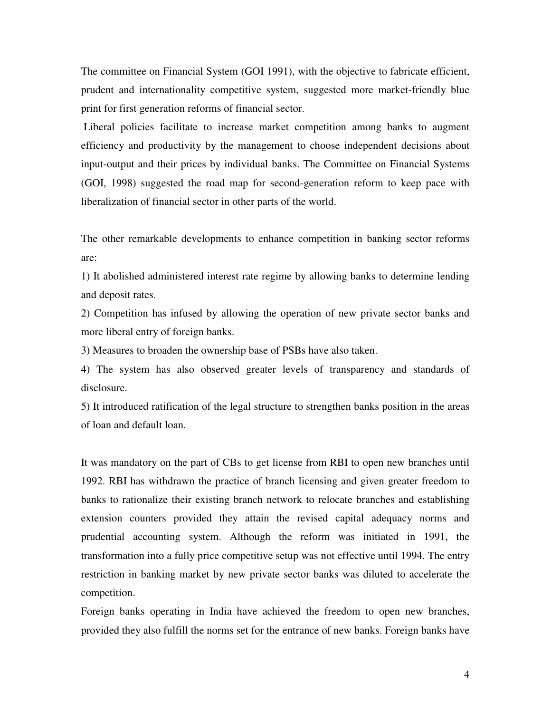The committee on Financial System (GOI 1991), with the objective to fabricate efficient, prudent and internationality competitive system, suggested more market-friendly blue print for first generation reforms of financial sector.

 Liberal policies facilitate to increase market competition among banks to augment efficiency and productivity by the management to choose independent decisions about input-output and their prices by individual banks. The Committee on Financial Systems (GOI, 1998) suggested the road map for second-generation reform to keep pace with liberalization of financial sector in other parts of the world.

The other remarkable developments to enhance competition in banking sector reforms are:

1) It abolished administered interest rate regime by allowing banks to determine lending and deposit rates.

2) Competition has infused by allowing the operation of new private sector banks and more liberal entry of foreign banks.

3) Measures to broaden the ownership base of PSBs have also taken.

4) The system has also observed greater levels of transparency and standards of disclosure.

5) It introduced ratification of the legal structure to strengthen banks position in the areas of loan and default loan.

It was mandatory on the part of CBs to get license from RBI to open new branches until 1992. RBI has withdrawn the practice of branch licensing and given greater freedom to banks to rationalize their existing branch network to relocate branches and establishing extension counters provided they attain the revised capital adequacy norms and prudential accounting system. Although the reform was initiated in 1991, the transformation into a fully price competitive setup was not effective until 1994. The entry restriction in banking market by new private sector banks was diluted to accelerate the competition.

Foreign banks operating in India have achieved the freedom to open new branches, provided they also fulfill the norms set for the entrance of new banks. Foreign banks have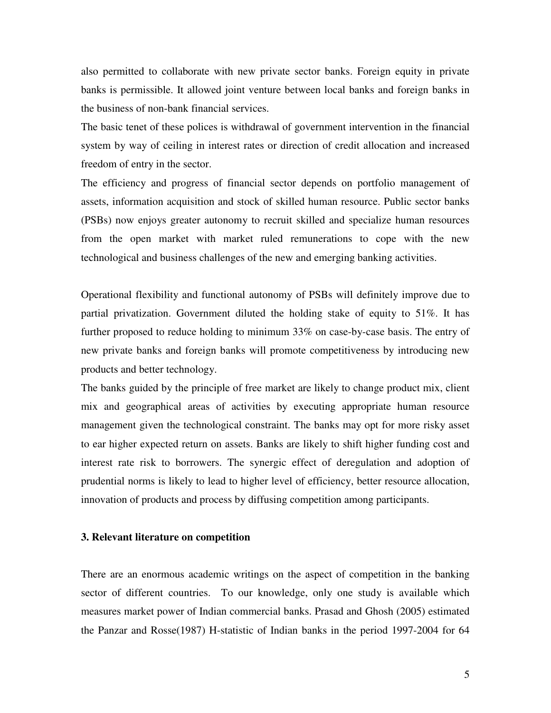also permitted to collaborate with new private sector banks. Foreign equity in private banks is permissible. It allowed joint venture between local banks and foreign banks in the business of non-bank financial services.

The basic tenet of these polices is withdrawal of government intervention in the financial system by way of ceiling in interest rates or direction of credit allocation and increased freedom of entry in the sector.

The efficiency and progress of financial sector depends on portfolio management of assets, information acquisition and stock of skilled human resource. Public sector banks (PSBs) now enjoys greater autonomy to recruit skilled and specialize human resources from the open market with market ruled remunerations to cope with the new technological and business challenges of the new and emerging banking activities.

Operational flexibility and functional autonomy of PSBs will definitely improve due to partial privatization. Government diluted the holding stake of equity to 51%. It has further proposed to reduce holding to minimum 33% on case-by-case basis. The entry of new private banks and foreign banks will promote competitiveness by introducing new products and better technology.

The banks guided by the principle of free market are likely to change product mix, client mix and geographical areas of activities by executing appropriate human resource management given the technological constraint. The banks may opt for more risky asset to ear higher expected return on assets. Banks are likely to shift higher funding cost and interest rate risk to borrowers. The synergic effect of deregulation and adoption of prudential norms is likely to lead to higher level of efficiency, better resource allocation, innovation of products and process by diffusing competition among participants.

#### **3. Relevant literature on competition**

There are an enormous academic writings on the aspect of competition in the banking sector of different countries. To our knowledge, only one study is available which measures market power of Indian commercial banks. Prasad and Ghosh (2005) estimated the Panzar and Rosse(1987) H-statistic of Indian banks in the period 1997-2004 for 64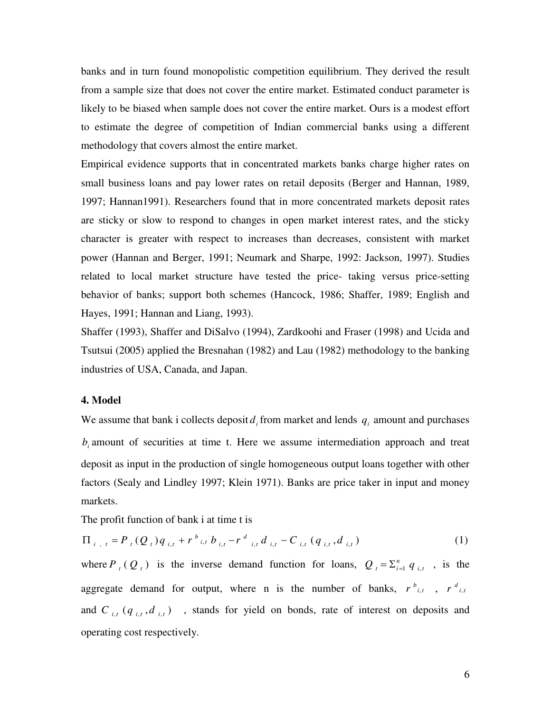banks and in turn found monopolistic competition equilibrium. They derived the result from a sample size that does not cover the entire market. Estimated conduct parameter is likely to be biased when sample does not cover the entire market. Ours is a modest effort to estimate the degree of competition of Indian commercial banks using a different methodology that covers almost the entire market.

Empirical evidence supports that in concentrated markets banks charge higher rates on small business loans and pay lower rates on retail deposits (Berger and Hannan, 1989, 1997; Hannan1991). Researchers found that in more concentrated markets deposit rates are sticky or slow to respond to changes in open market interest rates, and the sticky character is greater with respect to increases than decreases, consistent with market power (Hannan and Berger, 1991; Neumark and Sharpe, 1992: Jackson, 1997). Studies related to local market structure have tested the price- taking versus price-setting behavior of banks; support both schemes (Hancock, 1986; Shaffer, 1989; English and Hayes, 1991; Hannan and Liang, 1993).

Shaffer (1993), Shaffer and DiSalvo (1994), Zardkoohi and Fraser (1998) and Ucida and Tsutsui (2005) applied the Bresnahan (1982) and Lau (1982) methodology to the banking industries of USA, Canada, and Japan.

#### **4. Model**

We assume that bank i collects deposit  $d_i$  from market and lends  $q_i$  amount and purchases  $b_i$  amount of securities at time t. Here we assume intermediation approach and treat deposit as input in the production of single homogeneous output loans together with other factors (Sealy and Lindley 1997; Klein 1971). Banks are price taker in input and money markets.

The profit function of bank i at time t is

$$
\Pi_{i, t} = P_{t}(Q_{t})q_{i, t} + r_{i, t}b_{i, t} - r_{i, t}d_{i, t} - C_{i, t}(q_{i, t}, d_{i, t})
$$
\n(1)

where  $P_t(Q_t)$  is the inverse demand function for loans,  $Q_t = \sum_{i=1}^n q_{i,t}$ , is the aggregate demand for output, where n is the number of banks,  $r^{b}{}_{i,t}$ ,  $r^{d}{}_{i,t}$ and  $C_{i,t}$  ( $q_{i,t}$ , $d_{i,t}$ ), stands for yield on bonds, rate of interest on deposits and operating cost respectively.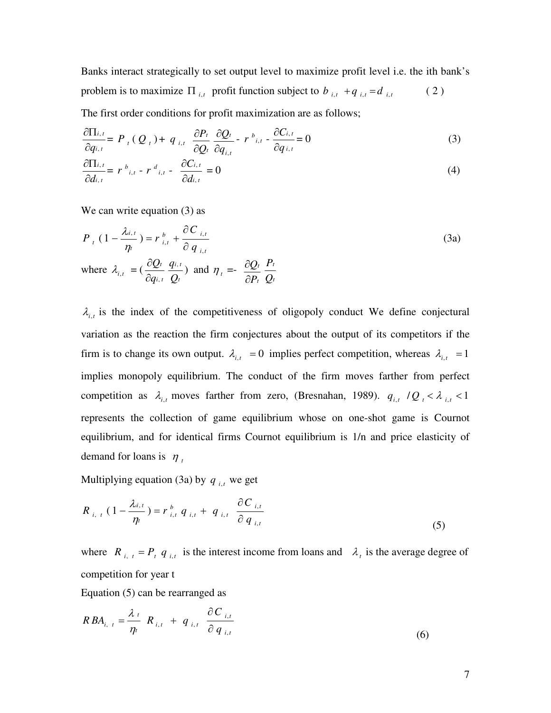Banks interact strategically to set output level to maximize profit level i.e. the ith bank's problem is to maximize  $\Pi_{i,t}$  profit function subject to  $b_{i,t} + q_{i,t} = d_{i,t}$  (2)

The first order conditions for profit maximization are as follows;

$$
\frac{\partial \Pi_{i,t}}{\partial q_{i,t}} = P_{t}(Q_{t}) + q_{i,t} \frac{\partial P_{t}}{\partial Q_{t}} \frac{\partial Q_{t}}{\partial q_{i,t}} - r_{i,t} \frac{\partial C_{i,t}}{\partial q_{i,t}} = 0
$$
\n(3)

$$
\frac{\partial \Pi_{i,t}}{\partial d_{i,t}} = r^{b}_{i,t} - r^{d}_{i,t} - \frac{\partial C_{i,t}}{\partial d_{i,t}} = 0
$$
\n(4)

We can write equation (3) as

$$
P_{t}(1 - \frac{\lambda_{i,t}}{\eta_{t}}) = r_{i,t}^{b} + \frac{\partial C_{i,t}}{\partial q_{i,t}}
$$
  
where  $\lambda_{i,t} = (\frac{\partial Q_{t}}{\partial q_{i,t}} \frac{q_{i,t}}{Q_{t}})$  and  $\eta_{t} = -\frac{\partial Q_{t}}{\partial P_{t}} \frac{P_{t}}{Q_{t}}$  (3a)

 $\lambda_{i,t}$  is the index of the competitiveness of oligopoly conduct We define conjectural variation as the reaction the firm conjectures about the output of its competitors if the firm is to change its own output.  $\lambda_{i,t} = 0$  implies perfect competition, whereas  $\lambda_{i,t} = 1$ implies monopoly equilibrium. The conduct of the firm moves farther from perfect competition as  $\lambda_{i,t}$  moves farther from zero, (Bresnahan, 1989).  $q_{i,t}$  /Q<sub>t</sub> <  $\lambda_{i,t}$  < 1 represents the collection of game equilibrium whose on one-shot game is Cournot equilibrium, and for identical firms Cournot equilibrium is 1/n and price elasticity of demand for loans is  $\eta_t$ 

Multiplying equation (3a) by  $q_{i,t}$  we get

$$
R_{i, t} (1 - \frac{\lambda_{i,t}}{\eta_t}) = r_{i,t}^b q_{i,t} + q_{i,t} \frac{\partial C_{i,t}}{\partial q_{i,t}}
$$
 (5)

where  $R_{i, t} = P_{t} q_{i, t}$  is the interest income from loans and  $\lambda_{t}$  is the average degree of competition for year t

Equation (5) can be rearranged as

$$
RBA_{i, t} = \frac{\lambda_t}{\eta_t} R_{i, t} + q_{i, t} \frac{\partial C_{i, t}}{\partial q_{i, t}}
$$
\n
$$
(6)
$$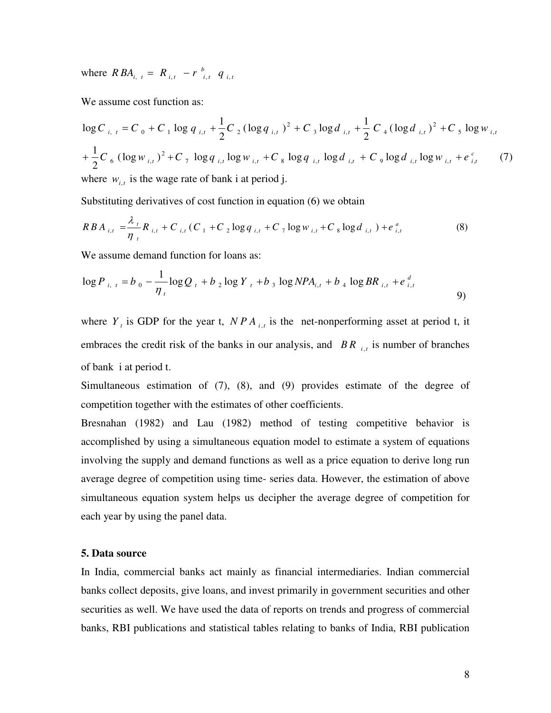where  $RBA_{i, t} = R_{i, t} - r_{i, t}^{b} q_{i, t}$ 

We assume cost function as:

$$
\log C_{i, t} = C_0 + C_1 \log q_{i, t} + \frac{1}{2} C_2 (\log q_{i, t})^2 + C_3 \log d_{i, t} + \frac{1}{2} C_4 (\log d_{i, t})^2 + C_5 \log w_{i, t}
$$
  
+ 
$$
\frac{1}{2} C_6 (\log w_{i, t})^2 + C_7 \log q_{i, t} \log w_{i, t} + C_8 \log q_{i, t} \log d_{i, t} + C_9 \log d_{i, t} \log w_{i, t} + e_{i, t}^c \qquad (7)
$$
  
where  $w_{i, t}$  is the wage rate of bank i at period j.

Substituting derivatives of cost function in equation (6) we obtain

$$
RBA_{i,t} = \frac{\lambda_i}{\eta_i} R_{i,t} + C_{i,t} (C_1 + C_2 \log q_{i,t} + C_7 \log w_{i,t} + C_8 \log d_{i,t}) + e_{i,t}^a
$$
 (8)

We assume demand function for loans as:

$$
\log P_{i, t} = b_0 - \frac{1}{\eta_t} \log Q_t + b_2 \log Y_t + b_3 \log NPA_{i, t} + b_4 \log BR_{i, t} + e_{i, t}^d
$$
 (9)

where  $Y_t$  is GDP for the year t,  $NPA_{i,t}$  is the net-nonperforming asset at period t, it embraces the credit risk of the banks in our analysis, and *BR*  $_{i,t}$  is number of branches of bank i at period t.

Simultaneous estimation of (7), (8), and (9) provides estimate of the degree of competition together with the estimates of other coefficients.

Bresnahan (1982) and Lau (1982) method of testing competitive behavior is accomplished by using a simultaneous equation model to estimate a system of equations involving the supply and demand functions as well as a price equation to derive long run average degree of competition using time- series data. However, the estimation of above simultaneous equation system helps us decipher the average degree of competition for each year by using the panel data.

#### **5. Data source**

In India, commercial banks act mainly as financial intermediaries. Indian commercial banks collect deposits, give loans, and invest primarily in government securities and other securities as well. We have used the data of reports on trends and progress of commercial banks, RBI publications and statistical tables relating to banks of India, RBI publication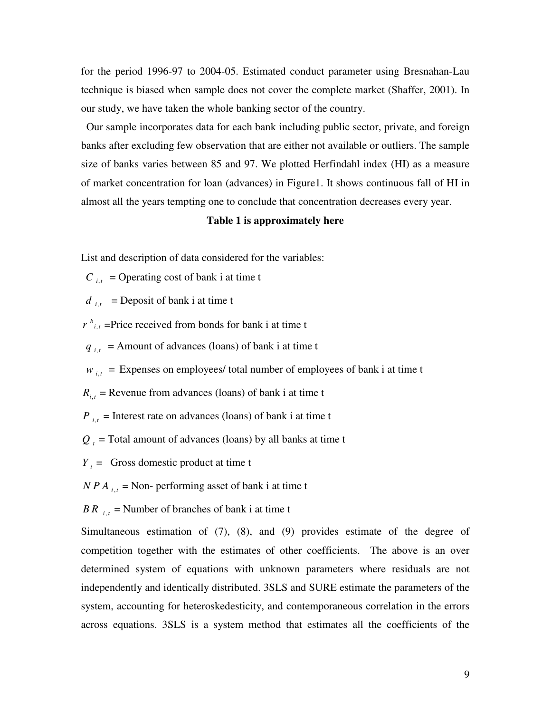for the period 1996-97 to 2004-05. Estimated conduct parameter using Bresnahan-Lau technique is biased when sample does not cover the complete market (Shaffer, 2001). In our study, we have taken the whole banking sector of the country.

 Our sample incorporates data for each bank including public sector, private, and foreign banks after excluding few observation that are either not available or outliers. The sample size of banks varies between 85 and 97. We plotted Herfindahl index (HI) as a measure of market concentration for loan (advances) in Figure1. It shows continuous fall of HI in almost all the years tempting one to conclude that concentration decreases every year.

#### **Table 1 is approximately here**

List and description of data considered for the variables:

 $C_{i,t}$  = Operating cost of bank i at time t

 $d_{i,t}$  = Deposit of bank i at time t

 $r^{b}$ <sub>*i*</sub>, =Price received from bonds for bank i at time t

 $q_{i,t}$  = Amount of advances (loans) of bank i at time t

 $w_{i,t}$  = Expenses on employees/ total number of employees of bank i at time t

 $R_{i,t}$  = Revenue from advances (loans) of bank i at time t

 $P_{i,t}$  = Interest rate on advances (loans) of bank i at time t

 $Q_t$  = Total amount of advances (loans) by all banks at time t

 $Y_t$  = Gross domestic product at time t

 $NPA_{i,t}$  = Non- performing asset of bank i at time t

*BR*  $_{i,t}$  = Number of branches of bank i at time t

Simultaneous estimation of (7), (8), and (9) provides estimate of the degree of competition together with the estimates of other coefficients. The above is an over determined system of equations with unknown parameters where residuals are not independently and identically distributed. 3SLS and SURE estimate the parameters of the system, accounting for heteroskedesticity, and contemporaneous correlation in the errors across equations. 3SLS is a system method that estimates all the coefficients of the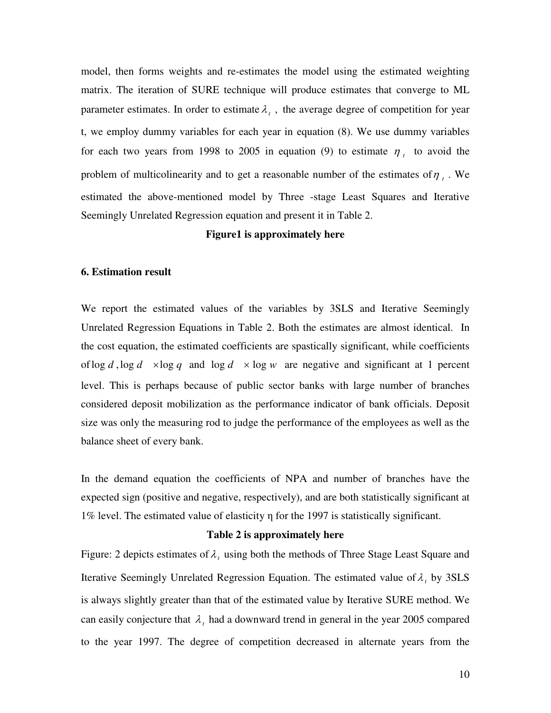model, then forms weights and re-estimates the model using the estimated weighting matrix. The iteration of SURE technique will produce estimates that converge to ML parameter estimates. In order to estimate  $\lambda_t$ , the average degree of competition for year t, we employ dummy variables for each year in equation (8). We use dummy variables for each two years from 1998 to 2005 in equation (9) to estimate  $\eta_t$  to avoid the problem of multicolinearity and to get a reasonable number of the estimates of  $\eta$ <sub>t</sub>. We estimated the above-mentioned model by Three -stage Least Squares and Iterative Seemingly Unrelated Regression equation and present it in Table 2.

### **Figure1 is approximately here**

#### **6. Estimation result**

We report the estimated values of the variables by 3SLS and Iterative Seemingly Unrelated Regression Equations in Table 2. Both the estimates are almost identical. In the cost equation, the estimated coefficients are spastically significant, while coefficients of  $\log d$ ,  $\log d \times \log q$  and  $\log d \times \log w$  are negative and significant at 1 percent level. This is perhaps because of public sector banks with large number of branches considered deposit mobilization as the performance indicator of bank officials. Deposit size was only the measuring rod to judge the performance of the employees as well as the balance sheet of every bank.

In the demand equation the coefficients of NPA and number of branches have the expected sign (positive and negative, respectively), and are both statistically significant at 1% level. The estimated value of elasticity η for the 1997 is statistically significant.

#### **Table 2 is approximately here**

Figure: 2 depicts estimates of  $\lambda$ , using both the methods of Three Stage Least Square and Iterative Seemingly Unrelated Regression Equation. The estimated value of  $\lambda_t$ , by 3SLS is always slightly greater than that of the estimated value by Iterative SURE method. We can easily conjecture that  $\lambda$ , had a downward trend in general in the year 2005 compared to the year 1997. The degree of competition decreased in alternate years from the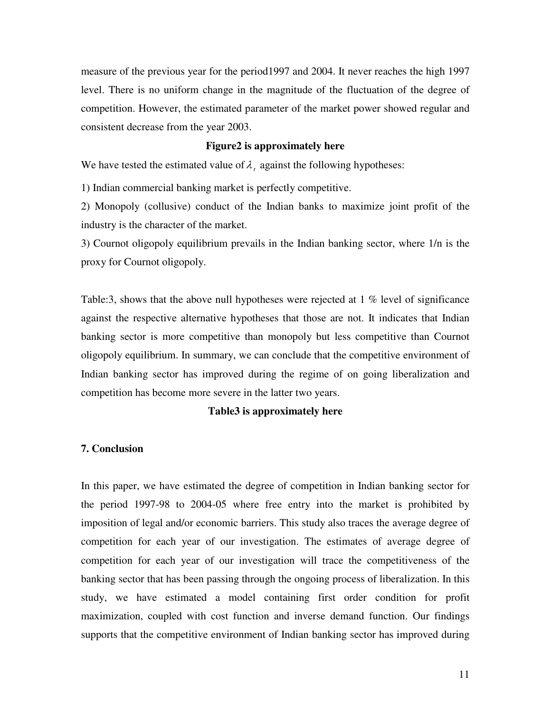measure of the previous year for the period1997 and 2004. It never reaches the high 1997 level. There is no uniform change in the magnitude of the fluctuation of the degree of competition. However, the estimated parameter of the market power showed regular and consistent decrease from the year 2003.

### **Figure2 is approximately here**

We have tested the estimated value of  $\lambda_t$  against the following hypotheses:

1) Indian commercial banking market is perfectly competitive.

2) Monopoly (collusive) conduct of the Indian banks to maximize joint profit of the industry is the character of the market.

3) Cournot oligopoly equilibrium prevails in the Indian banking sector, where 1/n is the proxy for Cournot oligopoly.

Table:3, shows that the above null hypotheses were rejected at 1 % level of significance against the respective alternative hypotheses that those are not. It indicates that Indian banking sector is more competitive than monopoly but less competitive than Cournot oligopoly equilibrium. In summary, we can conclude that the competitive environment of Indian banking sector has improved during the regime of on going liberalization and competition has become more severe in the latter two years.

### **Table3 is approximately here**

#### **7. Conclusion**

In this paper, we have estimated the degree of competition in Indian banking sector for the period 1997-98 to 2004-05 where free entry into the market is prohibited by imposition of legal and/or economic barriers. This study also traces the average degree of competition for each year of our investigation. The estimates of average degree of competition for each year of our investigation will trace the competitiveness of the banking sector that has been passing through the ongoing process of liberalization. In this study, we have estimated a model containing first order condition for profit maximization, coupled with cost function and inverse demand function. Our findings supports that the competitive environment of Indian banking sector has improved during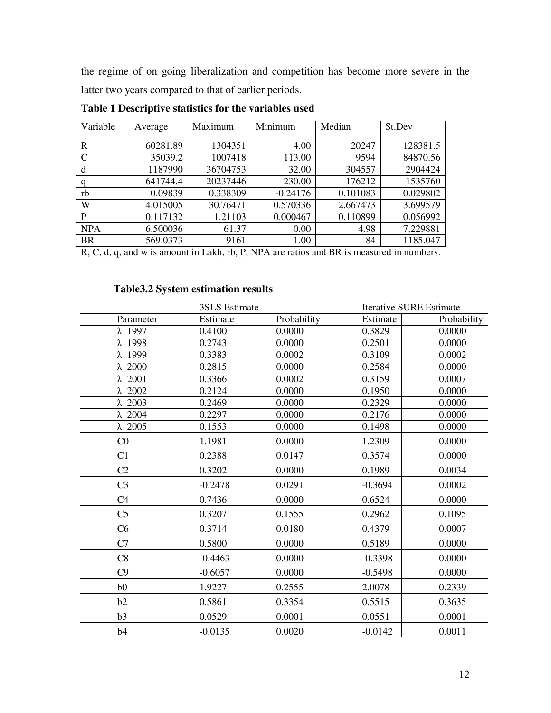the regime of on going liberalization and competition has become more severe in the latter two years compared to that of earlier periods.

| Variable    | Average  | Maximum  | Minimum    | Median   | St.Dev   |
|-------------|----------|----------|------------|----------|----------|
|             |          |          |            |          |          |
| R           | 60281.89 | 1304351  | 4.00       | 20247    | 128381.5 |
| $\mathbf C$ | 35039.2  | 1007418  | 113.00     | 9594     | 84870.56 |
| d           | 1187990  | 36704753 | 32.00      | 304557   | 2904424  |
| a           | 641744.4 | 20237446 | 230.00     | 176212   | 1535760  |
| rb          | 0.09839  | 0.338309 | $-0.24176$ | 0.101083 | 0.029802 |
| W           | 4.015005 | 30.76471 | 0.570336   | 2.667473 | 3.699579 |
| P           | 0.117132 | 1.21103  | 0.000467   | 0.110899 | 0.056992 |
| <b>NPA</b>  | 6.500036 | 61.37    | 0.00       | 4.98     | 7.229881 |
| <b>BR</b>   | 569.0373 | 9161     | 1.00       | 84       | 1185.047 |

**Table 1 Descriptive statistics for the variables used** 

R, C, d, q, and w is amount in Lakh, rb, P, NPA are ratios and BR is measured in numbers.

## **Table3.2 System estimation results**

|                | 3SLS Estimate |             | <b>Iterative SURE Estimate</b> |             |
|----------------|---------------|-------------|--------------------------------|-------------|
| Parameter      | Estimate      | Probability | Estimate                       | Probability |
| $\lambda$ 1997 | 0.4100        | 0.0000      | 0.3829                         | 0.0000      |
| $\lambda$ 1998 | 0.2743        | 0.0000      | 0.2501                         | 0.0000      |
| λ 1999         | 0.3383        | 0.0002      | 0.3109                         | 0.0002      |
| $\lambda$ 2000 | 0.2815        | 0.0000      | 0.2584                         | 0.0000      |
| $\lambda$ 2001 | 0.3366        | 0.0002      | 0.3159                         | 0.0007      |
| $\lambda$ 2002 | 0.2124        | 0.0000      | 0.1950                         | 0.0000      |
| $\lambda$ 2003 | 0.2469        | 0.0000      | 0.2329                         | 0.0000      |
| $\lambda$ 2004 | 0.2297        | 0.0000      | 0.2176                         | 0.0000      |
| $\lambda$ 2005 | 0.1553        | 0.0000      | 0.1498                         | 0.0000      |
| CO             | 1.1981        | 0.0000      | 1.2309                         | 0.0000      |
| C1             | 0.2388        | 0.0147      | 0.3574                         | 0.0000      |
| C <sub>2</sub> | 0.3202        | 0.0000      | 0.1989                         | 0.0034      |
| C <sub>3</sub> | $-0.2478$     | 0.0291      | $-0.3694$                      | 0.0002      |
| C <sub>4</sub> | 0.7436        | 0.0000      | 0.6524                         | 0.0000      |
| C <sub>5</sub> | 0.3207        | 0.1555      | 0.2962                         | 0.1095      |
| C6             | 0.3714        | 0.0180      | 0.4379                         | 0.0007      |
| C7             | 0.5800        | 0.0000      | 0.5189                         | 0.0000      |
| C8             | $-0.4463$     | 0.0000      | $-0.3398$                      | 0.0000      |
| C9             | $-0.6057$     | 0.0000      | $-0.5498$                      | 0.0000      |
| b <sub>0</sub> | 1.9227        | 0.2555      | 2.0078                         | 0.2339      |
| b2             | 0.5861        | 0.3354      | 0.5515                         | 0.3635      |
| b3             | 0.0529        | 0.0001      | 0.0551                         | 0.0001      |
| b4             | $-0.0135$     | 0.0020      | $-0.0142$                      | 0.0011      |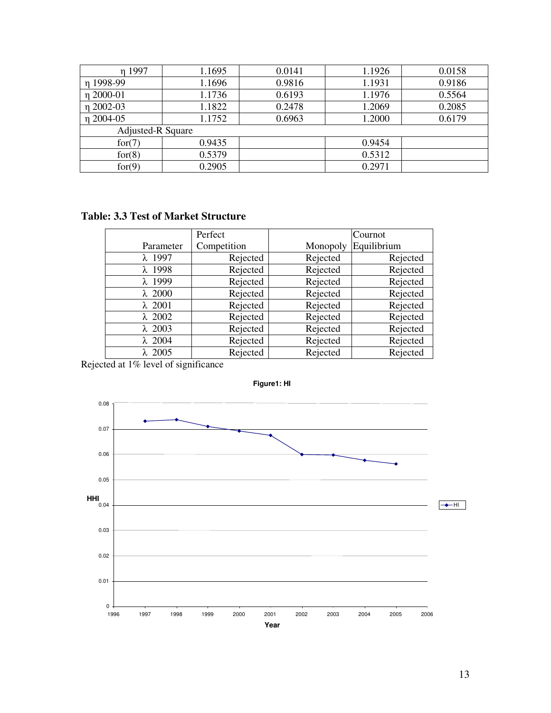| η 1997                   | 1.1695 | 0.0141 | 1.1926 | 0.0158 |
|--------------------------|--------|--------|--------|--------|
| n 1998-99                | 1.1696 | 0.9816 | 1.1931 | 0.9186 |
| η 2000-01                | 1.1736 | 0.6193 | 1.1976 | 0.5564 |
| η 2002-03                | 1.1822 | 0.2478 | 1.2069 | 0.2085 |
| n 2004-05                | 1.1752 | 0.6963 | 1.2000 | 0.6179 |
| <b>Adjusted-R Square</b> |        |        |        |        |
| for(7)                   | 0.9435 |        | 0.9454 |        |
| for(8)                   | 0.5379 |        | 0.5312 |        |
| for(9)                   | 0.2905 |        | 0.2971 |        |

## **Table: 3.3 Test of Market Structure**

|                | Perfect     |          | Cournot     |
|----------------|-------------|----------|-------------|
| Parameter      | Competition | Monopoly | Equilibrium |
| $\lambda$ 1997 | Rejected    | Rejected | Rejected    |
| $\lambda$ 1998 | Rejected    | Rejected | Rejected    |
| $\lambda$ 1999 | Rejected    | Rejected | Rejected    |
| $\lambda$ 2000 | Rejected    | Rejected | Rejected    |
| $\lambda$ 2001 | Rejected    | Rejected | Rejected    |
| $\lambda$ 2002 | Rejected    | Rejected | Rejected    |
| $\lambda$ 2003 | Rejected    | Rejected | Rejected    |
| $\lambda$ 2004 | Rejected    | Rejected | Rejected    |
| $\lambda$ 2005 | Rejected    | Rejected | Rejected    |

Rejected at 1% level of significance



**Figure1: HI**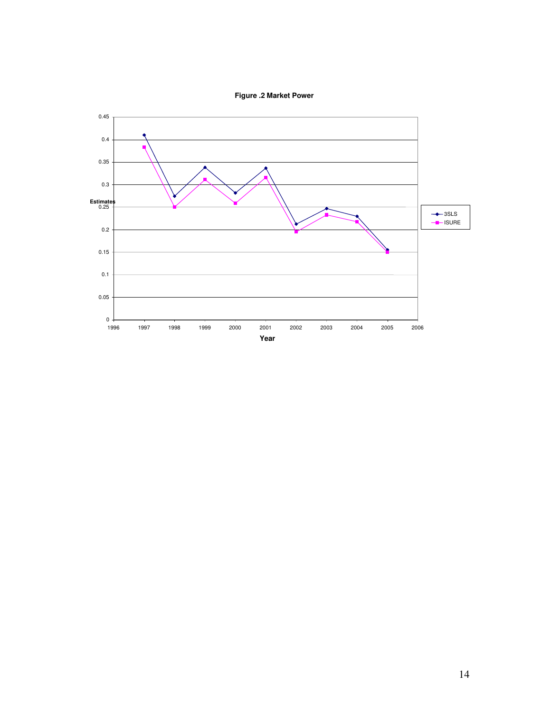**Figure .2 Market Power**

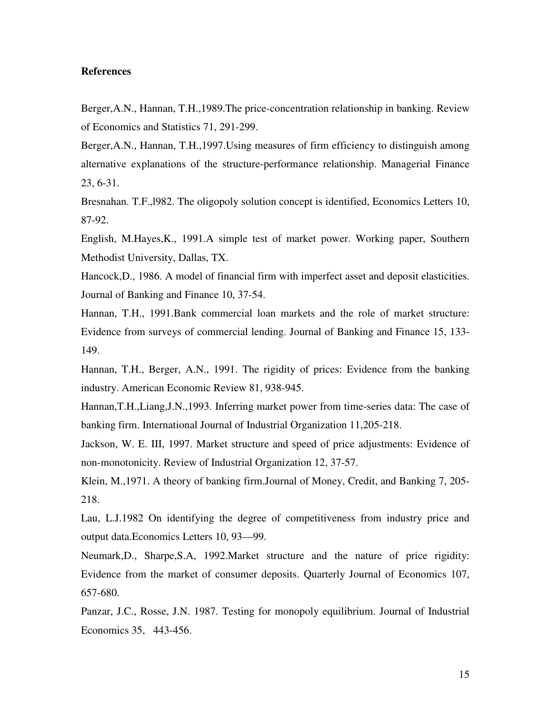### **References**

Berger,A.N., Hannan, T.H.,1989.The price-concentration relationship in banking. Review of Economics and Statistics 71, 291-299.

Berger,A.N., Hannan, T.H.,1997.Using measures of firm efficiency to distinguish among alternative explanations of the structure-performance relationship. Managerial Finance 23, 6-31.

Bresnahan. T.F.,l982. The oligopoly solution concept is identified, Economics Letters 10, 87-92.

English, M.Hayes,K., 1991.A simple test of market power. Working paper, Southern Methodist University, Dallas, TX.

Hancock,D., 1986. A model of financial firm with imperfect asset and deposit elasticities. Journal of Banking and Finance 10, 37-54.

Hannan, T.H., 1991.Bank commercial loan markets and the role of market structure: Evidence from surveys of commercial lending. Journal of Banking and Finance 15, 133- 149.

Hannan, T.H., Berger, A.N., 1991. The rigidity of prices: Evidence from the banking industry. American Economic Review 81, 938-945.

Hannan,T.H.,Liang,J.N.,1993. Inferring market power from time-series data: The case of banking firm. International Journal of Industrial Organization 11,205-218.

Jackson, W. E. III, 1997. Market structure and speed of price adjustments: Evidence of non-monotonicity. Review of Industrial Organization 12, 37-57.

Klein, M.,1971. A theory of banking firm.Journal of Money, Credit, and Banking 7, 205- 218.

Lau, L.J.1982 On identifying the degree of competitiveness from industry price and output data.Economics Letters 10, 93—99.

Neumark,D., Sharpe,S.A, 1992.Market structure and the nature of price rigidity: Evidence from the market of consumer deposits. Quarterly Journal of Economics 107, 657-680.

Panzar, J.C., Rosse, J.N. 1987. Testing for monopoly equilibrium. Journal of Industrial Economics 35, 443-456.